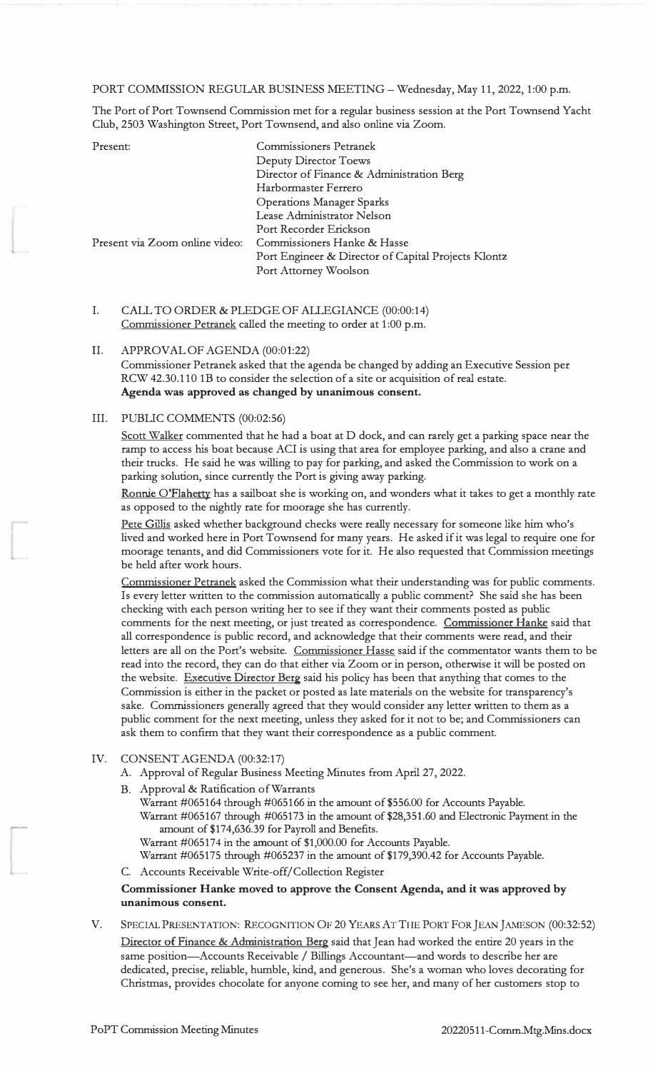### PORT COMMISSION REGULAR BUSINESS MEETING - Wednesday, May 11, 2022, 1:00 p.m.

The Port of Port Townsend Commission met for a regular business session at the Port Townsend Yacht Club, 2503 Washington Street, Port Townsend, and also online via Zoom.

| Present:                       | <b>Commissioners Petranek</b>                       |
|--------------------------------|-----------------------------------------------------|
|                                | Deputy Director Toews                               |
|                                | Director of Finance & Administration Berg           |
|                                | Harbormaster Ferrero                                |
|                                | <b>Operations Manager Sparks</b>                    |
|                                | Lease Administrator Nelson                          |
|                                | Port Recorder Erickson                              |
| Present via Zoom online video: | Commissioners Hanke & Hasse                         |
|                                | Port Engineer & Director of Capital Projects Klontz |
|                                | Port Attorney Woolson                               |

I. CALL TO ORDER & PLEDGE OF ALLEGIANCE (00:00:14) Commissioner Petranek called the meeting to order at 1:00 p.m.

# II. APPROVAL OF AGENDA (00:01:22) Commissioner Petranek asked that the agenda be changed by adding an Executive Session per RCW 42.30.110 1B to consider the selection of a site or acquisition of real estate. **Agenda was approved as changed by unanimous consent.**

### III. PUBLIC COMMENTS (00:02:56)

Scott Walker commented that he had a boat at D dock, and can rarely get a parking space near the ramp to access his boat because ACI is using that area for employee parking, and also a crane and their trucks. He said he was willing to pay for parking, and asked the Commission to work on a parking solution, since currently the Port is giving away parking.

Ronnie O'Flaherty has a sailboat she is working on, and wonders what it takes to get a monthly rate as opposed to the nightly rate for moorage she has currently.

Pete Gillis asked whether background checks were really necessary for someone like him who's lived and worked here in Port Townsend for many years. He asked if it was legal to require one for moorage tenants, and did Commissioners vote for it. He also requested that Commission meetings be held after work hours.

Commissioner Petranek asked the Commission what their understanding was for public comments. Is every letter written to the commission automatically a public comment? She said she has been checking with each person writing her to see if they want their comments posted as public comments for the next meeting, or just treated as correspondence. **Commissioner Hanke** said that all correspondence is public record, and acknowledge that their comments were read, and their letters are all on the Port's website. Commissioner Hasse said if the commentator wants them to be read into the record, they can do that either via Zoom or in person, otherwise it will be posted on the website. Executive Director Berg said his policy has been that anything that comes to the Commission is either in the packet or posted as late materials on the website for transparency's sake. Commissioners generally agreed that they would consider any letter written to them as a public comment for the next meeting, unless they asked for it not to be; and Commissioners can ask them to confirm that they want their correspondence as a public comment.

#### IV. CONSENT AGENDA (00:32:17)

A. Approval of Regular Business Meeting Minutes from April 27, 2022.

- B. Approval & Ratification of Warrants Warrant #065164 through #065166 in the amount of \$556.00 for Accounts Payable. Warrant #065167 through #065173 in the amount of \$28,351.60 and Electronic Payment in the amount of \$174,636.39 for Payroll and Benefits. Warrant #065174 in the amount of \$1,000.00 for Accounts Payable. Warrant #065175 through #065237 in the amount of \$179,390.42 for Accounts Payable.
- C. Accounts Receivable Write-off/Collection Register

## **Commissioner Hanke moved to approve the Consent Agenda, and it was approved by unanimous consent.**

V. SPECIAL PRESENTATION: RECOGNITION OF 20 YEARS AT THE PORT FOR JEAN JAMESON (00:32:52) Director of Finance & Administration Berg said that Jean had worked the entire 20 years in the same position-Accounts Receivable / Billings Accountant-and words to describe her are dedicated, precise, reliable, humble, kind, and generous. She's a woman who loves decorating for Christmas, provides chocolate for anyone coming to see her, and many of her customers stop to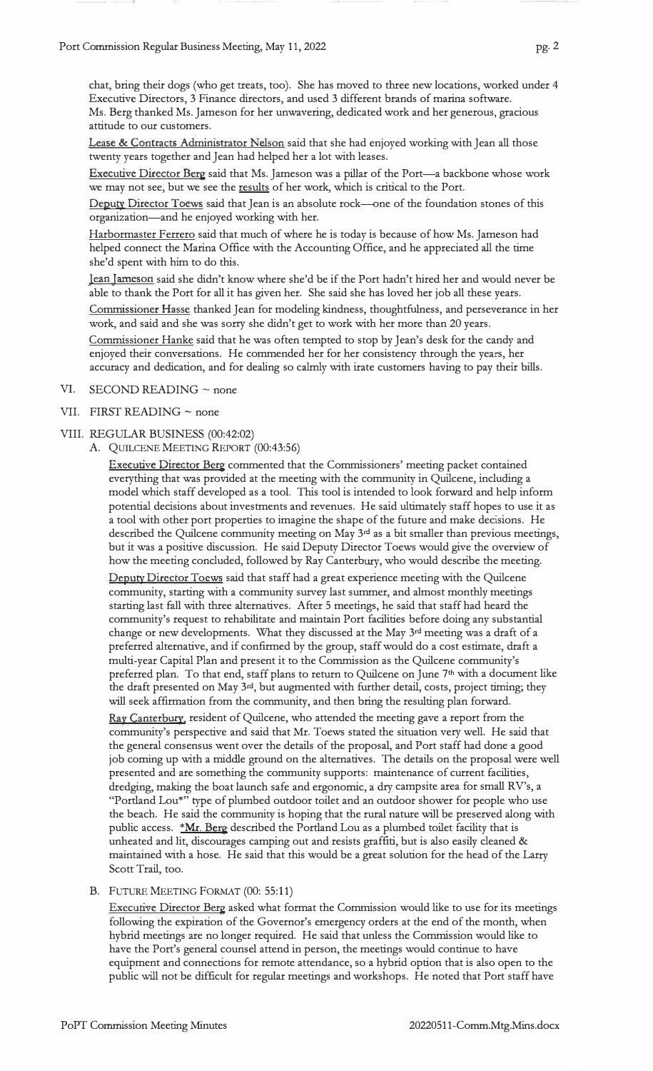chat, bring their dogs (who get treats, too). She has moved to three new locations, worked under 4 Executive Directors, 3 Finance directors, and used 3 different brands of marina software. Ms. Berg thanked Ms. Jameson for her unwavering, dedicated work and her generous, gracious attitude to our customers.

Lease & Contracts Administrator Nelson said that she had enjoyed working with Jean all those twenty years together and Jean had helped her a lot with leases.

Executive Director Berg said that Ms. Jameson was a pillar of the Port-a backbone whose work we may not see, but we see the results of her work, which is critical to the Port.

Deputy Director Toews said that Jean is an absolute rock-one of the foundation stones of this organization-and he enjoyed working with her.

Harbormaster Ferrero said that much of where he is today is because of how Ms. Jameson had helped connect the Marina Office with the Accounting Office, and he appreciated all the time she'd spent with him to do this.

lean Jameson said she didn't know where she'd be if the Port hadn't hired her and would never be able to thank the Port for all it has given her. She said she has loved her job all these years. Commissioner Hasse thanked Jean for modeling kindness, thoughtfulness, and perseverance in her

work, and said and she was sorry she didn't get to work with her more than 20 years. Commissioner Hanke said that he was often tempted to stop by Jean's desk for the candy and

enjoyed their conversations. He commended her for her consistency through the years, her accuracy and dedication, and for dealing so calmly with irate customers having to pay their bills.

VI. SECOND READING  $\sim$  none

## VII. FIRST READING  $\sim$  none

#### VIII. REGULAR BUSINESS (00:42:02)

A. QUILCENE MEETING REPORT (00:43:56)

Executive Director Berg commented that the Commissioners' meeting packet contained everything that was provided at the meeting with the community in Quilcene, including a model which staff developed as a tool. This tool is intended to look forward and help inform potential decisions about investments and revenues. He said ultimately staff hopes to use it as a tool with other port properties to imagine the shape of the future and make decisions. He described the Quilcene community meeting on May 3<sup>rd</sup> as a bit smaller than previous meetings, but it was a positive discussion. He said Deputy Director Toews would give the overview of how the meeting concluded, followed by Ray Canterbury, who would describe the meeting.

Deputy Director Toews said that staff had a great experience meeting with the Quilcene community, starting with a community survey last summer, and almost monthly meetings starting last fall with three alternatives. After 5 meetings, he said that staff had heard the community's request to rehabilitate and maintain Port facilities before doing any substantial change or new developments. What they discussed at the May <sup>3d</sup> meeting was a draft of a preferred alternative, and if confirmed by the group, staff would do a cost estimate, draft a multi-year Capital Plan and present it to the Commission as the Quilcene community's preferred plan. To that end, staff plans to return to Quilcene on June 7 th with a document like the draft presented on May 3<sup>rd</sup>, but augmented with further detail, costs, project timing; they will seek affirmation from the community, and then bring the resulting plan forward.

Ray Canterbury, resident of Quilcene, who attended the meeting gave a report from the community's perspective and said that Mr. Toews stated the situation very well. He said that the general consensus went over the details of the proposal, and Port staff had done a good job coming up with a middle ground on the alternatives. The details on the proposal were well presented and are something the community supports: maintenance of current facilities, dredging, making the boat launch safe and ergonomic, a dry campsite area for small RV's, a "Portland Lou\*" type of plumbed outdoor toilet and an outdoor shower for people who use the beach. He said the community is hoping that the rural nature will be preserved along with public access. **\*Mr.** Berg described the Portland Lou as a plumbed toilet facility that is unheated and lit, discourages camping out and resists graffiti, but is also easily cleaned & maintained with a hose. He said that this would be a great solution for the head of the Larry Scott Trail, too.

#### B. FUTURE MEETING FORMAT (00: 55:11)

Executive Director Berg asked what format the Commission would like to use for its meetings following the expiration of the Governor's emergency orders at the end of the month, when hybrid meetings are no longer required. He said that unless the Commission would like to have the Port's general counsel attend in person, the meetings would continue to have equipment and connections for remote attendance, so a hybrid option that is also open to the public will not be difficult for regular meetings and workshops. He noted that Port staff have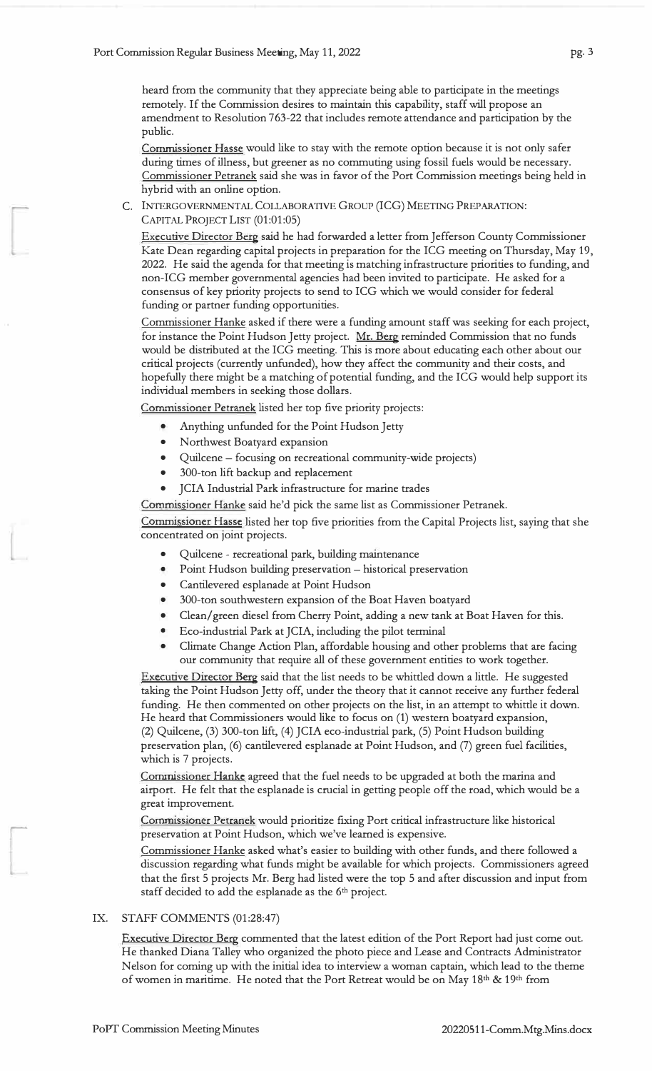heard from the community that they appreciate being able to participate in the meetings remotely. If the Commission desires to maintain this capability, staff will propose an amendment to Resolution 763-22 that includes remote attendance and participation by the public.

**Commissioner Hasse** would like to stay with the remote option because it is not only safer during times of illness, but greener as no commuting using fossil fuels would be necessary. Commissioner Petranek said she was in favor of the Port Commission meetings being held in hybrid with an online option.

C. INTERGOVERNMENTAL COLLABORATIVE GROUP (ICG) MEETING PREPARATION:

CAPITAL PROJECT LIST (01:01:05)

Executive Director Berg said he had forwarded a letter from Jefferson County Commissioner Kate Dean regarding capital projects in preparation for the ICG meeting on Thursday, May 19, 2022. He said the agenda for that meeting is matching infrastructure priorities to funding, and non-ICG member governmental agencies had been invited to participate. He asked for a consensus of key priority projects to send to ICG which we would consider for federal funding or partner funding opportunities.

Commissioner Hanke asked if there were a funding amount staff was seeking for each project, for instance the Point Hudson Jetty project. Mr. Berg reminded Commission that no funds would be distributed at the ICG meeting. This is more about educating each other about our critical projects (currently unfunded), how they affect the community and their costs, and hopefully there might be a matching of potential funding, and the ICG would help support its individual members in seeking those dollars.

**Commissioner Petranek** listed her top five priority projects:

- Anything unfunded for the Point Hudson Jetty
- Northwest Boatyard expansion
- Quilcene focusing on recreational community-wide projects)
- 300-ton lift backup and replacement
- JCIA Industrial Park infrastructure for marine trades

Commissioner Hanke said he'd pick the same list as Commissioner Petranek.

Commissioner Hasse listed her top five priorities from the Capital Projects list, saying that she concentrated on joint projects.

- Quilcene recreational park, building maintenance
- Point Hudson building preservation historical preservation
- Cantilevered esplanade at Point Hudson
- 300-ton southwestern expansion of the Boat Haven boatyard
- Clean/green diesel from Cherry Point, adding a new tank at Boat Haven for this.
- Eco-industrial Park at JCIA, including the pilot terminal
- Climate Change Action Plan, affordable housing and other problems that are facing our community that require all of these government entities to work together.

Executive Director Berg said that the list needs to be whittled down a little. He suggested taking the Point Hudson Jetty off, under the theory that it cannot receive any further federal funding. He then commented on other projects on the list, in an attempt to whittle it down. He heard that Commissioners would like to focus on (1) western boatyard expansion, (2) Quilcene, (3) 300-ton lift, (4) JCIA eco-industrial park, (5) Point Hudson building preservation plan, (6) cantilevered esplanade at Point Hudson, and (7) green fuel facilities, which is 7 projects.

Commissioner **Hanke** agreed that the fuel needs to be upgraded at both the marina and airport. He felt that the esplanade is crucial in getting people off the road, which would be a great improvement.

**Commissioner Petranek** would prioritize fixing Port critical infrastructure like historical preservation at Point Hudson, which we've learned is expensive.

Commissioner Hanke asked what's easier to building with other funds, and there followed a discussion regarding what funds might be available for which projects. Commissioners agreed that the first 5 projects Mr. Berg had listed were the top 5 and after discussion and input from staff decided to add the esplanade as the 6th project.

### IX. STAFF COMMENTS (01:28:47)

Executive Director Berg commented that the latest edition of the Port Report had just come out. He thanked Diana Talley who organized the photo piece and Lease and Contracts Administrator Nels on for coming up with the initial idea to interview a woman captain, which lead to the theme of women in maritime. He noted that the Port Retreat would be on May 18th & 19th from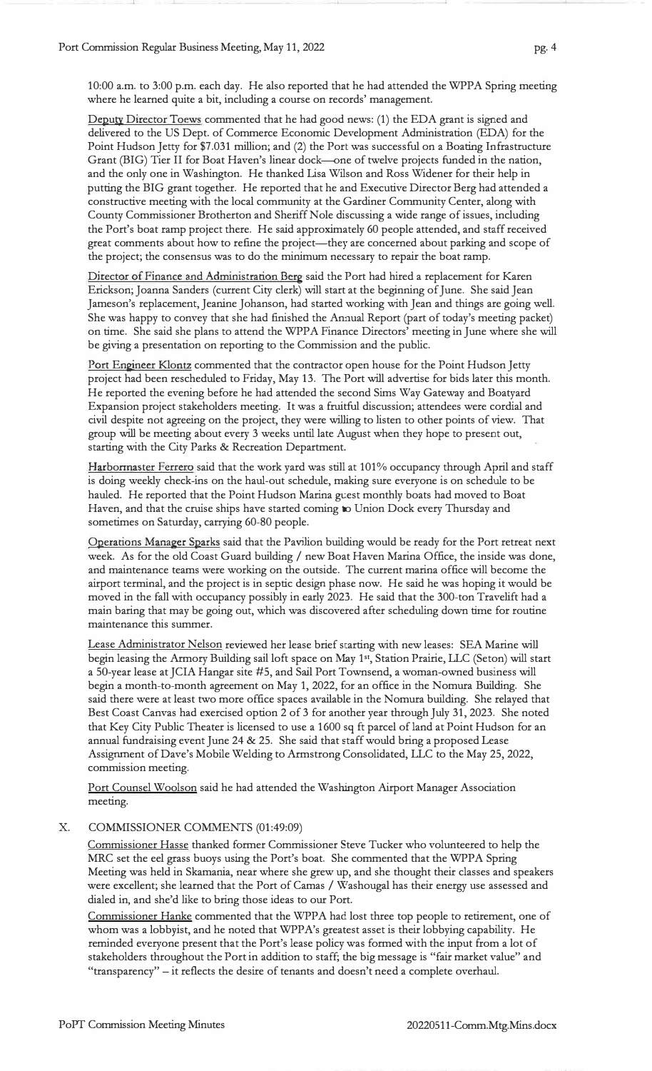Deputy Director Toews commented that he had good news: (1) the EDA grant is signed and delivered to the US Dept. of Commerce Economic Development Administration (EDA) for the Point Hudson Jetty for \$7.031 million; and (2) the Port was successful on a Boating Infrastructure Grant (BIG) Tier II for Boat Haven's linear dock--one of twelve projects funded in the nation, and the only one in Washington. He thanked Lisa Wilson and Ross Widener for their help in putting the BIG grant together. He reported that he and Executive Director Berg had attended a constructive meeting with the local community at the Gardiner Community Center, along with County Commissioner Brotherton and Sheriff Nole discussing a wide range of issues, including the Port's boat ramp project there. He said approximately 60 people attended, and staff received great comments about how to refine the project-they are concerned about parking and scope of the project; the consensus was to do the minimum necessary to repair the boat ramp.

Director of Finance and Administration Berg said the Port had hired a replacement for Karen Erickson; Joanna Sanders (current City clerk) will start at the beginning of June. She said Jean Jameson's replacement, Jeanine Johanson, had started working with Jean and things are going well. She was happy to convey that she had finished the Annual Report (part of today's meeting packet) on time. She said she plans to attend the WPPA Finance Directors' meeting in June where she will be giving a presentation on reporting to the Commission and the public.

Port Engineer Klontz commented that the contractor open house for the Point Hudson Jetty project had been rescheduled to Friday, May 13. The Port will advertise for bids later this month. He reported the evening before he had attended the second Sims Way Gateway and Boatyard Expansion project stakeholders meeting. It was a fruitful discussion; attendees were cordial and civil despite not agreeing on the project, they were willing to listen to other points of view. That group will be meeting about every 3 weeks until late August when they hope to present out, starting with the City Parks & Recreation Department.

Harbormaster Ferrero said that the work yard was still at 101% occupancy through April and staff is doing weekly check-ins on the haul-out schedule, making sure everyone is on schedule to be hauled. He reported that the Point Hudson Marina guest monthly boats had moved to Boat Haven, and that the cruise ships have started coming to Union Dock every Thursday and sometimes on Saturday, carrying 60-80 people.

Operations Manager Sparks said that the Pavilion building would be ready for the Port retreat next week. As for the old Coast Guard building / new Boat Haven Marina Office, the inside was done, and maintenance teams were working on the outside. The current marina office will become the airport terminal, and the project is in septic design phase now. He said he was hoping it would be moved in the fall with occupancy possibly in early 2023. He said that the 300-ton Travelift had a main baring that may be going out, which was discovered after scheduling down time for routine maintenance this summer.

Lease Administrator Nelson reviewed her lease brief starting with new leases: SEA Marine will begin leasing the Armory Building sail loft space on May 1st, Station Prairie, LLC (Seton) will start a SO-year lease at JCIA Hangar site #5, and Sail Port Townsend, a woman-owned business will begin a month-to-month agreement on May 1, 2022, for an office in the Nomura Building. She said there were at least two more office spaces available in the Nomura building. She relayed that Best Coast Canvas had exercised option 2 of 3 for another year through July 31, 2023. She noted that Key City Public Theater is licensed to use a 1600 sq ft parcel of land at Point Hudson for an annual fundraising event June 24 & 25. She said that staff would bring a proposed Lease Assignment of Dave's Mobile Welding to Armstrong Consolidated, LLC to the May 25, 2022, commission meeting.

Port Counsel Woolson said he had attended the Washington Airport Manager Association meeting.

## X. COMMISSIONER COMMENTS (01:49:09)

Commissioner Hasse thanked former Commissioner Steve Tucker who volunteered to help the MRC set the eel grass buoys using the Port's boat. She commented that the WPPA Spring Meeting was held in Skamania, near where she grew up, and she thought their classes and speakers were excellent; she learned that the Port of Camas / Washougal has their energy use assessed and dialed in, and she'd like to bring those ideas to our Port.

Commissioner Hanke commented that the WPPA had lost three top people to retirement, one of whom was a lobbyist, and he noted that WPPA's greatest asset is their lobbying capability. He reminded everyone present that the Port's lease policy was formed with the input from a lot of stakeholders throughout the Port in addition to staff; the big message is "fair market value" and "transparency" - it reflects the desire of tenants and doesn't need a complete overhaul.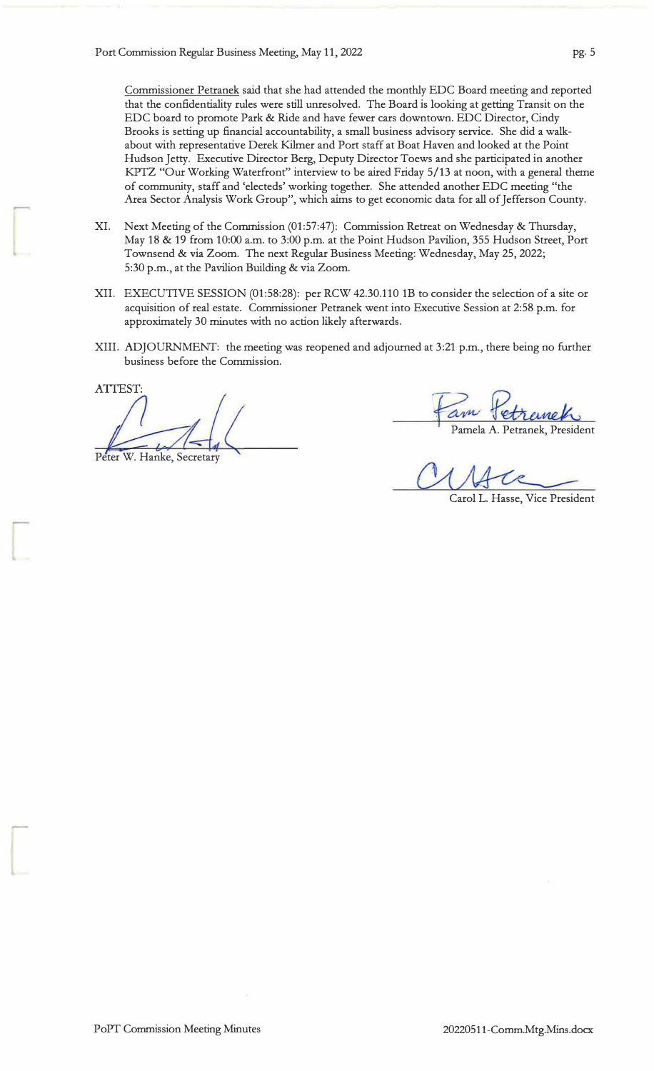Commissioner Petranek said that she had attended the monthly EDC Board meeting and reported that the confidentiality rules were still unresolved. The Board is looking at getting Transit on the EDC board to promote Park & Ride and have fewer cars downtown. EDC Director, Cindy Brooks is setting up financial accountability, a small business advisory service. She did a walkabout with representative Derek Kilmer and Port staff at Boat Haven and looked at the Point Hudson Jetty. Executive Director Berg, Deputy Director Toews and she participated in another KPTZ "Our Working Waterfront" interview to be aired Friday 5/13 at noon, with a general theme of community, staff and 'electeds' working together. She attended another EDC meeting "the Area Sector Analysis Work Group", which aims to get economic data for all of Jefferson County.

- XI. Next Meeting of the Commission (01:57:47): Commission Retreat on Wednesday & Thursday, May 18 & 19 from 10:00 a.m. to 3:00 p.m. at the Point Hudson Pavilion, 355 Hudson Street, Port Townsend & via Zoom. The next Regular Business Meeting: Wednesday, May 25, 2022; 5:30 p.m., at the Pavilion Building & via Zoom.
- XII. EXECUTIVE SESSION (01:58:28): per RCW 42.30.110 1B to consider the selection of a site or acquisition of real estate. Commissioner Petranek went into Executive Session at 2:58 p.m. for approximately 30 minutes with no action likely afterwards.
- XIII. ADJOURNMENT: the meeting was reopened and adjourned at 3:21 p.m., there being no further business before the Commission.

**ATTEST** 

W. Hanke, Secretary

A. Petranek, President

Carol L. Hasse, Vice President